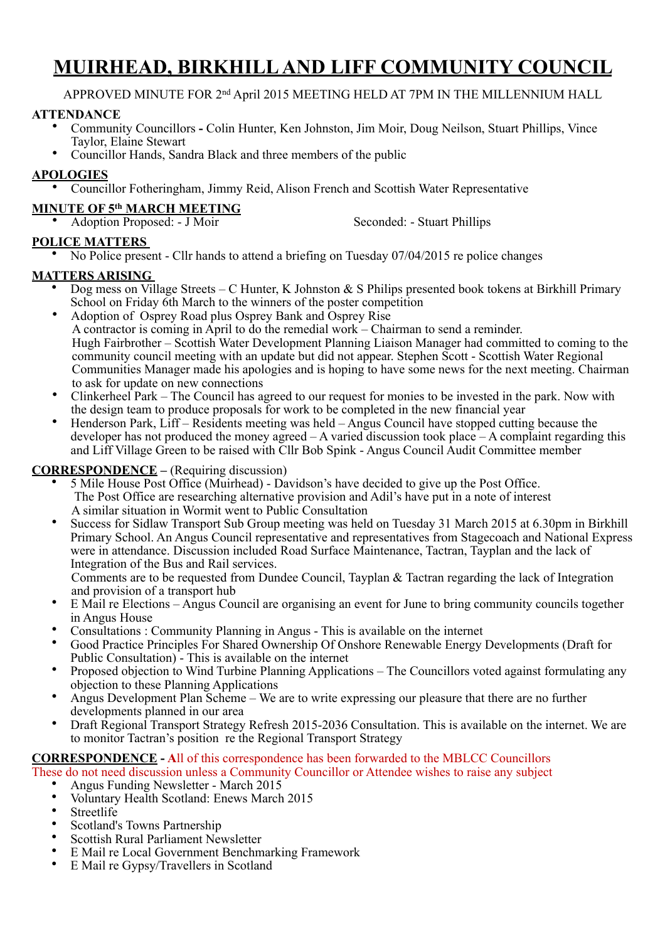# **MUIRHEAD, BIRKHILL AND LIFF COMMUNITY COUNCIL**

APPROVED MINUTE FOR 2nd April 2015 MEETING HELD AT 7PM IN THE MILLENNIUM HALL

#### **ATTENDANCE**

- Community Councillors **-** Colin Hunter, Ken Johnston, Jim Moir, Doug Neilson, Stuart Phillips, Vince Taylor, Elaine Stewart
	- Councillor Hands, Sandra Black and three members of the public

## **APOLOGIES**

• Councillor Fotheringham, Jimmy Reid, Alison French and Scottish Water Representative

## **MINUTE OF 5th MARCH MEETING**

| • Adoption Proposed: - J Moir | Seconded: - Stuart Phillips |
|-------------------------------|-----------------------------|
|                               |                             |

## **POLICE MATTERS**

• No Police present - Cllr hands to attend a briefing on Tuesday 07/04/2015 re police changes

#### **MATTERS ARISING**

- Dog mess on Village Streets C Hunter, K Johnston & S Philips presented book tokens at Birkhill Primary School on Friday 6th March to the winners of the poster competition
- Adoption of Osprey Road plus Osprey Bank and Osprey Rise A contractor is coming in April to do the remedial work – Chairman to send a reminder. Hugh Fairbrother – Scottish Water Development Planning Liaison Manager had committed to coming to the community council meeting with an update but did not appear. Stephen Scott - Scottish Water Regional Communities Manager made his apologies and is hoping to have some news for the next meeting. Chairman to ask for update on new connections
- Clinkerheel Park The Council has agreed to our request for monies to be invested in the park. Now with the design team to produce proposals for work to be completed in the new financial year
- Henderson Park, Liff Residents meeting was held Angus Council have stopped cutting because the developer has not produced the money agreed – A varied discussion took place – A complaint regarding this and Liff Village Green to be raised with Cllr Bob Spink - Angus Council Audit Committee member

## **CORRESPONDENCE** – (Requiring discussion)

- 5 Mile House Post Office (Muirhead) Davidson's have decided to give up the Post Office. The Post Office are researching alternative provision and Adil's have put in a note of interest A similar situation in Wormit went to Public Consultation
- Success for Sidlaw Transport Sub Group meeting was held on Tuesday 31 March 2015 at 6.30pm in Birkhill Primary School. An Angus Council representative and representatives from Stagecoach and National Express were in attendance. Discussion included Road Surface Maintenance, Tactran, Tayplan and the lack of Integration of the Bus and Rail services.

Comments are to be requested from Dundee Council, Tayplan & Tactran regarding the lack of Integration and provision of a transport hub

- E Mail re Elections Angus Council are organising an event for June to bring community councils together in Angus House
- Consultations : Community Planning in Angus This is available on the internet
- Good Practice Principles For Shared Ownership Of Onshore Renewable Energy Developments (Draft for Public Consultation) - This is available on the internet
- Proposed objection to Wind Turbine Planning Applications The Councillors voted against formulating any objection to these Planning Applications
- Angus Development Plan Scheme We are to write expressing our pleasure that there are no further developments planned in our area
- Draft Regional Transport Strategy Refresh 2015-2036 Consultation. This is available on the internet. We are to monitor Tactran's position re the Regional Transport Strategy

## **CORRESPONDENCE - A**ll of this correspondence has been forwarded to the MBLCC Councillors

These do not need discussion unless a Community Councillor or Attendee wishes to raise any subject

- Angus Funding Newsletter March 2015
- Voluntary Health Scotland: Enews March 2015<br>• Streetlife
- **Streetlife**
- Scotland's Towns Partnership
- Scottish Rural Parliament Newsletter
- E Mail re Local Government Benchmarking Framework<br>• E Mail re Gynsy/Travellers in Scotland
- E Mail re Gypsy/Travellers in Scotland